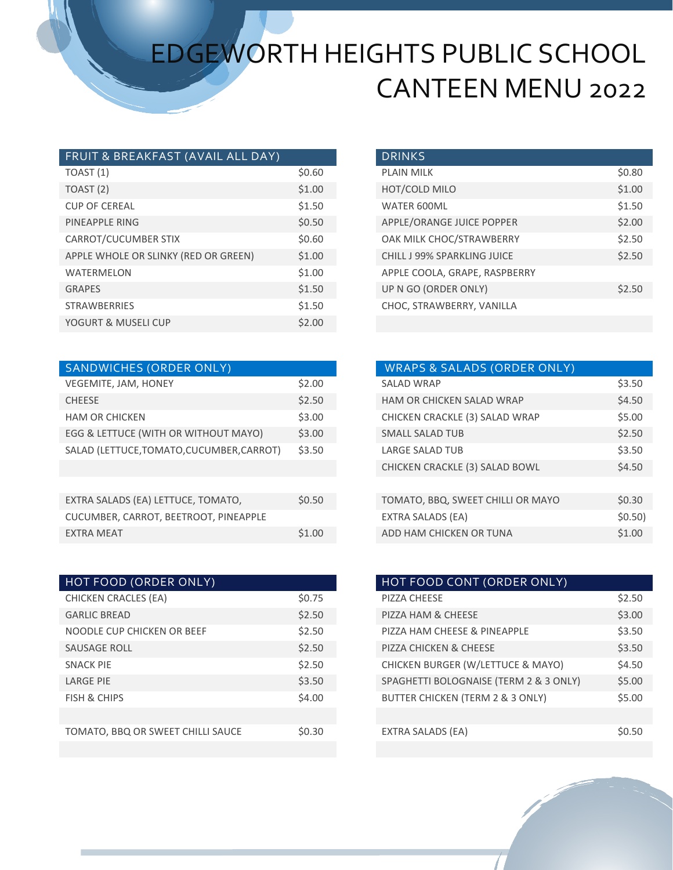# EDGEWORTH HEIGHTS PUBLIC SCHOOL CANTEEN MENU 2022

| FRUIT & BREAKFAST (AVAIL ALL DAY)              |
|------------------------------------------------|
| TOAST (1)<br>\$0.60                            |
| \$1.00<br>TOAST (2)                            |
| \$1.50<br><b>CUP OF CEREAL</b>                 |
| \$0.50<br>PINEAPPLE RING                       |
| \$0.60<br>CARROT/CUCUMBER STIX                 |
| APPLE WHOLE OR SLINKY (RED OR GREEN)<br>\$1.00 |
| \$1.00<br><b>WATERMELON</b>                    |
| \$1.50<br><b>GRAPES</b>                        |
| \$1.50<br><b>STRAWBERRIES</b>                  |
| \$2.00<br>YOGURT & MUSELI CUP                  |

| <b>SANDWICHES (ORDER ONLY)</b>            |        |
|-------------------------------------------|--------|
| VEGEMITE, JAM, HONEY                      | \$2.00 |
| <b>CHEESE</b>                             | \$2.50 |
| <b>HAM OR CHICKEN</b>                     | \$3.00 |
| EGG & LETTUCE (WITH OR WITHOUT MAYO)      | \$3.00 |
| SALAD (LETTUCE, TOMATO, CUCUMBER, CARROT) | \$3.50 |
|                                           |        |
|                                           |        |
| EXTRA SALADS (EA) LETTUCE, TOMATO,        | \$0.50 |
| CUCUMBER, CARROT, BEETROOT, PINEAPPLE     |        |
| <b>EXTRA MEAT</b>                         | \$1.00 |
|                                           |        |

| HOT FOOD (ORDER ONLY)             |        | HOT FOOD CONT (ORDER ONLY)             |
|-----------------------------------|--------|----------------------------------------|
| <b>CHICKEN CRACLES (EA)</b>       | \$0.75 | PIZZA CHEESE                           |
| <b>GARLIC BREAD</b>               | \$2.50 | PIZZA HAM & CHEESE                     |
| NOODLE CUP CHICKEN OR BEEF        | \$2.50 | PIZZA HAM CHEESE & PINEAPPLE           |
| <b>SAUSAGE ROLL</b>               | \$2.50 | PIZZA CHICKEN & CHEESE                 |
| <b>SNACK PIE</b>                  | \$2.50 | CHICKEN BURGER (W/LETTUCE & MAYO)      |
| <b>LARGE PIE</b>                  | \$3.50 | SPAGHETTI BOLOGNAISE (TERM 2 & 3 ONLY) |
| FISH & CHIPS                      | \$4.00 | BUTTER CHICKEN (TERM 2 & 3 ONLY)       |
|                                   |        |                                        |
| TOMATO, BBQ OR SWEET CHILLI SAUCE | \$0.30 | EXTRA SALADS (EA)                      |
|                                   |        |                                        |

| <b>DRINKS</b>                      |        |
|------------------------------------|--------|
| <b>PLAIN MILK</b>                  | \$0.80 |
| HOT/COLD MILO                      | \$1.00 |
| <b>WATER 600ML</b>                 | \$1.50 |
| APPLE/ORANGE JUICE POPPER          | \$2.00 |
| OAK MILK CHOC/STRAWBERRY           | \$2.50 |
| <b>CHILL J 99% SPARKLING JUICE</b> | \$2.50 |
| APPLE COOLA, GRAPE, RASPBERRY      |        |
| UP N GO (ORDER ONLY)               | \$2.50 |
| CHOC, STRAWBERRY, VANILLA          |        |

| <b>SANDWICHES (ORDER ONLY)</b>         |        | <b>WRAPS &amp; SALADS (ORDER ONLY)</b> |         |
|----------------------------------------|--------|----------------------------------------|---------|
| VEGEMITE, JAM, HONEY                   | \$2.00 | <b>SALAD WRAP</b>                      | \$3.50  |
| <b>CHEESE</b>                          | \$2.50 | <b>HAM OR CHICKEN SALAD WRAP</b>       | \$4.50  |
| <b>HAM OR CHICKEN</b>                  | \$3.00 | CHICKEN CRACKLE (3) SALAD WRAP         | \$5.00  |
| EGG & LETTUCE (WITH OR WITHOUT MAYO)   | \$3.00 | <b>SMALL SALAD TUB</b>                 | \$2.50  |
| SALAD (LETTUCE,TOMATO,CUCUMBER,CARROT) | \$3.50 | <b>LARGE SALAD TUB</b>                 | \$3.50  |
|                                        |        | CHICKEN CRACKLE (3) SALAD BOWL         | \$4.50  |
|                                        |        |                                        |         |
| EXTRA SALADS (EA) LETTUCE, TOMATO,     | \$0.50 | TOMATO, BBQ, SWEET CHILLI OR MAYO      | \$0.30  |
| CUCUMBER, CARROT, BEETROOT, PINEAPPLE  |        | EXTRA SALADS (EA)                      | \$0.50) |
| <b>EXTRA MEAT</b>                      | \$1.00 | ADD HAM CHICKEN OR TUNA                | \$1.00  |

| HOT FOOD CONT (ORDER ONLY)             |        |
|----------------------------------------|--------|
| PIZZA CHEESE                           | \$2.50 |
| <b>PIZZA HAM &amp; CHEESE</b>          | \$3.00 |
| PIZZA HAM CHEESE & PINEAPPLE           | \$3.50 |
| PIZZA CHICKEN & CHEESE                 | \$3.50 |
| CHICKEN BURGER (W/LETTUCE & MAYO)      | \$4.50 |
| SPAGHETTI BOLOGNAISE (TERM 2 & 3 ONLY) | \$5.00 |
| BUTTER CHICKEN (TERM 2 & 3 ONLY)       | \$5.00 |
|                                        |        |
| EXTRA SALADS (EA)                      | SO 50  |